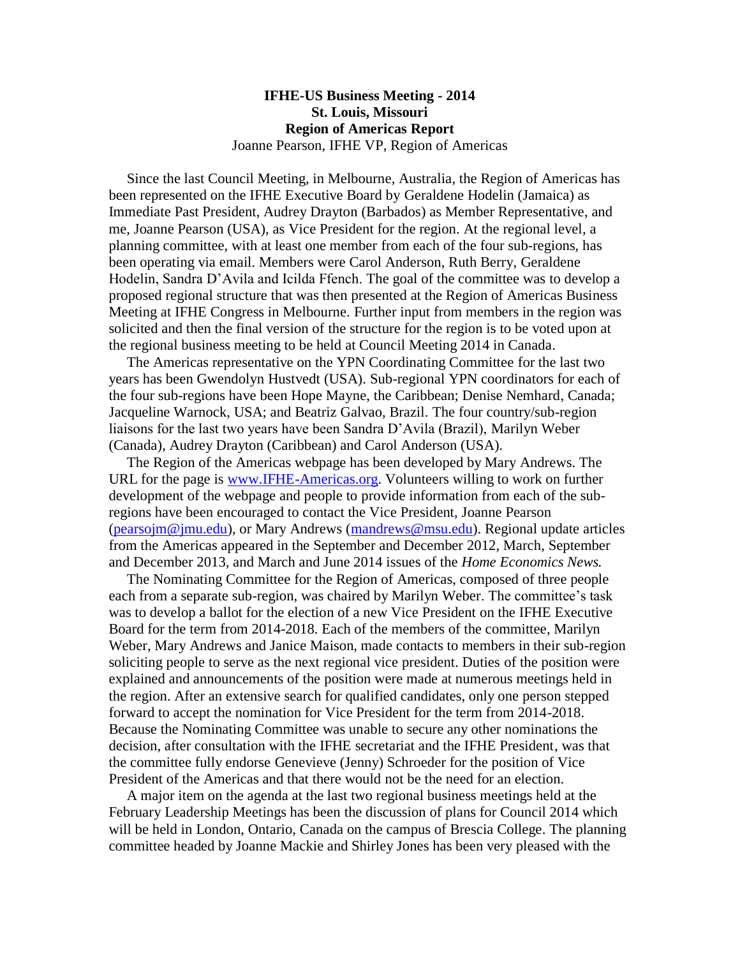## **IFHE-US Business Meeting - 2014 St. Louis, Missouri Region of Americas Report** Joanne Pearson, IFHE VP, Region of Americas

 Since the last Council Meeting, in Melbourne, Australia, the Region of Americas has been represented on the IFHE Executive Board by Geraldene Hodelin (Jamaica) as Immediate Past President, Audrey Drayton (Barbados) as Member Representative, and me, Joanne Pearson (USA), as Vice President for the region. At the regional level, a planning committee, with at least one member from each of the four sub-regions, has been operating via email. Members were Carol Anderson, Ruth Berry, Geraldene Hodelin, Sandra D'Avila and Icilda Ffench. The goal of the committee was to develop a proposed regional structure that was then presented at the Region of Americas Business Meeting at IFHE Congress in Melbourne. Further input from members in the region was solicited and then the final version of the structure for the region is to be voted upon at the regional business meeting to be held at Council Meeting 2014 in Canada.

 The Americas representative on the YPN Coordinating Committee for the last two years has been Gwendolyn Hustvedt (USA). Sub-regional YPN coordinators for each of the four sub-regions have been Hope Mayne, the Caribbean; Denise Nemhard, Canada; Jacqueline Warnock, USA; and Beatriz Galvao, Brazil. The four country/sub-region liaisons for the last two years have been Sandra D'Avila (Brazil), Marilyn Weber (Canada), Audrey Drayton (Caribbean) and Carol Anderson (USA).

 The Region of the Americas webpage has been developed by Mary Andrews. The URL for the page is [www.IFHE-Americas.org.](http://www.ifhe-americas.org/) Volunteers willing to work on further development of the webpage and people to provide information from each of the subregions have been encouraged to contact the Vice President, Joanne Pearson [\(pearsojm@jmu.edu\)](mailto:pearsojm@jmu.edu), or Mary Andrews [\(mandrews@msu.edu\)](mailto:mandrews@msu.edu). Regional update articles from the Americas appeared in the September and December 2012, March, September and December 2013, and March and June 2014 issues of the *Home Economics News.* 

 The Nominating Committee for the Region of Americas, composed of three people each from a separate sub-region, was chaired by Marilyn Weber. The committee's task was to develop a ballot for the election of a new Vice President on the IFHE Executive Board for the term from 2014-2018. Each of the members of the committee, Marilyn Weber, Mary Andrews and Janice Maison, made contacts to members in their sub-region soliciting people to serve as the next regional vice president. Duties of the position were explained and announcements of the position were made at numerous meetings held in the region. After an extensive search for qualified candidates, only one person stepped forward to accept the nomination for Vice President for the term from 2014-2018. Because the Nominating Committee was unable to secure any other nominations the decision, after consultation with the IFHE secretariat and the IFHE President, was that the committee fully endorse Genevieve (Jenny) Schroeder for the position of Vice President of the Americas and that there would not be the need for an election.

 A major item on the agenda at the last two regional business meetings held at the February Leadership Meetings has been the discussion of plans for Council 2014 which will be held in London, Ontario, Canada on the campus of Brescia College. The planning committee headed by Joanne Mackie and Shirley Jones has been very pleased with the